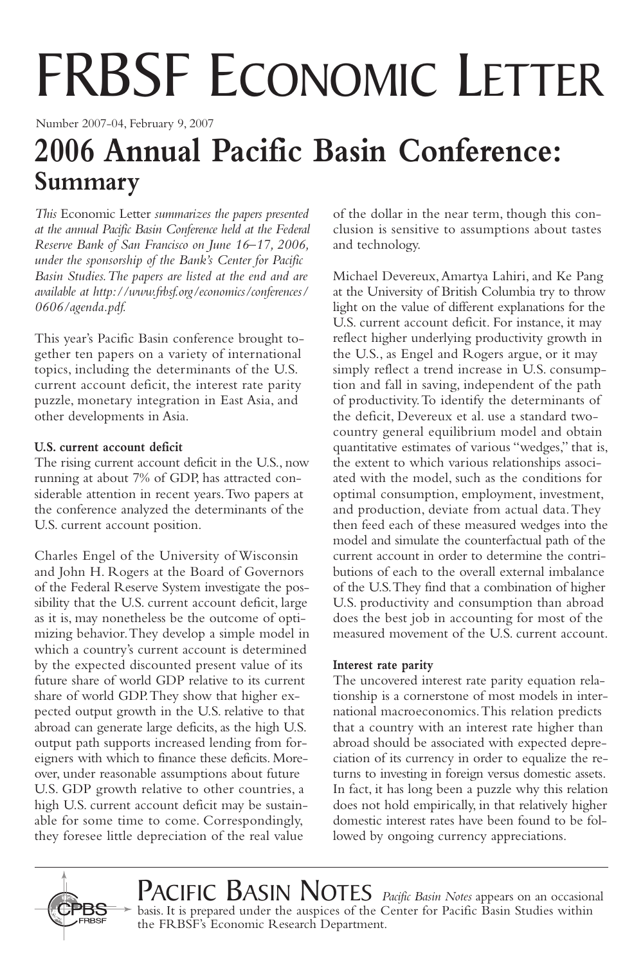# FRBSF ECONOMIC LETTER

Number 2007-04, February 9, 2007

# **2006 Annual Pacific Basin Conference: Summary**

*This* Economic Letter *summarizes the papers presented at the annual Pacific Basin Conference held at the Federal Reserve Bank of San Francisco on June 16–17, 2006, under the sponsorship of the Bank's Center for Pacific Basin Studies.The papers are listed at the end and are available at http://www.frbsf.org/economics/conferences/ 0606/agenda.pdf.*

This year's Pacific Basin conference brought together ten papers on a variety of international topics, including the determinants of the U.S. current account deficit, the interest rate parity puzzle, monetary integration in East Asia, and other developments in Asia.

### **U.S. current account deficit**

The rising current account deficit in the U.S., now running at about 7% of GDP, has attracted considerable attention in recent years.Two papers at the conference analyzed the determinants of the U.S. current account position.

Charles Engel of the University of Wisconsin and John H. Rogers at the Board of Governors of the Federal Reserve System investigate the possibility that the U.S. current account deficit, large as it is, may nonetheless be the outcome of optimizing behavior.They develop a simple model in which a country's current account is determined by the expected discounted present value of its future share of world GDP relative to its current share of world GDP.They show that higher expected output growth in the U.S. relative to that abroad can generate large deficits, as the high U.S. output path supports increased lending from foreigners with which to finance these deficits. Moreover, under reasonable assumptions about future U.S. GDP growth relative to other countries, a high U.S. current account deficit may be sustainable for some time to come. Correspondingly, they foresee little depreciation of the real value

of the dollar in the near term, though this conclusion is sensitive to assumptions about tastes and technology.

Michael Devereux,Amartya Lahiri, and Ke Pang at the University of British Columbia try to throw light on the value of different explanations for the U.S. current account deficit. For instance, it may reflect higher underlying productivity growth in the U.S., as Engel and Rogers argue, or it may simply reflect a trend increase in U.S. consumption and fall in saving, independent of the path of productivity.To identify the determinants of the deficit, Devereux et al. use a standard twocountry general equilibrium model and obtain quantitative estimates of various "wedges," that is, the extent to which various relationships associated with the model, such as the conditions for optimal consumption, employment, investment, and production, deviate from actual data.They then feed each of these measured wedges into the model and simulate the counterfactual path of the current account in order to determine the contributions of each to the overall external imbalance of the U.S.They find that a combination of higher U.S. productivity and consumption than abroad does the best job in accounting for most of the measured movement of the U.S. current account.

#### **Interest rate parity**

The uncovered interest rate parity equation relationship is a cornerstone of most models in international macroeconomics.This relation predicts that a country with an interest rate higher than abroad should be associated with expected depreciation of its currency in order to equalize the returns to investing in foreign versus domestic assets. In fact, it has long been a puzzle why this relation does not hold empirically, in that relatively higher domestic interest rates have been found to be followed by ongoing currency appreciations.



PACIFIC BASIN NOTES *Pacific Basin Notes* appears on an occasional basis. It is prepared under the auspices of the Center for Pacific Basin Studies within the FRBSF's Economic Research Department.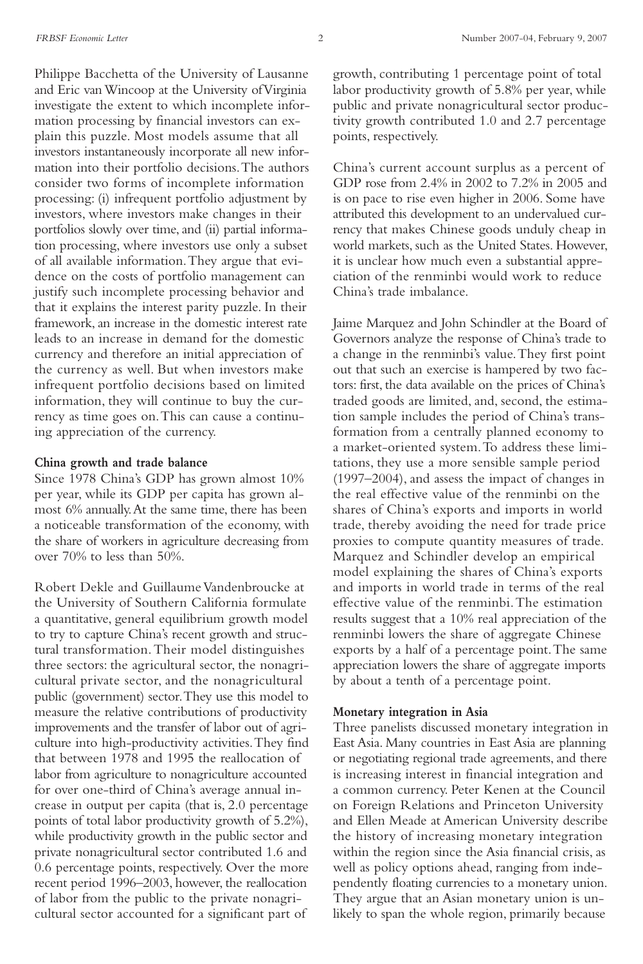Philippe Bacchetta of the University of Lausanne and Eric van Wincoop at the University of Virginia investigate the extent to which incomplete information processing by financial investors can explain this puzzle. Most models assume that all investors instantaneously incorporate all new information into their portfolio decisions.The authors consider two forms of incomplete information processing: (i) infrequent portfolio adjustment by investors, where investors make changes in their portfolios slowly over time, and (ii) partial information processing, where investors use only a subset of all available information.They argue that evidence on the costs of portfolio management can justify such incomplete processing behavior and that it explains the interest parity puzzle. In their framework, an increase in the domestic interest rate leads to an increase in demand for the domestic currency and therefore an initial appreciation of the currency as well. But when investors make infrequent portfolio decisions based on limited information, they will continue to buy the currency as time goes on.This can cause a continuing appreciation of the currency.

#### **China growth and trade balance**

Since 1978 China's GDP has grown almost 10% per year, while its GDP per capita has grown almost 6% annually.At the same time, there has been a noticeable transformation of the economy, with the share of workers in agriculture decreasing from over 70% to less than 50%.

Robert Dekle and Guillaume Vandenbroucke at the University of Southern California formulate a quantitative, general equilibrium growth model to try to capture China's recent growth and structural transformation.Their model distinguishes three sectors: the agricultural sector, the nonagricultural private sector, and the nonagricultural public (government) sector.They use this model to measure the relative contributions of productivity improvements and the transfer of labor out of agriculture into high-productivity activities.They find that between 1978 and 1995 the reallocation of labor from agriculture to nonagriculture accounted for over one-third of China's average annual increase in output per capita (that is, 2.0 percentage points of total labor productivity growth of 5.2%), while productivity growth in the public sector and private nonagricultural sector contributed 1.6 and 0.6 percentage points, respectively. Over the more recent period 1996–2003, however, the reallocation of labor from the public to the private nonagricultural sector accounted for a significant part of

growth, contributing 1 percentage point of total labor productivity growth of 5.8% per year, while public and private nonagricultural sector productivity growth contributed 1.0 and 2.7 percentage points, respectively.

China's current account surplus as a percent of GDP rose from 2.4% in 2002 to 7.2% in 2005 and is on pace to rise even higher in 2006. Some have attributed this development to an undervalued currency that makes Chinese goods unduly cheap in world markets, such as the United States. However, it is unclear how much even a substantial appreciation of the renminbi would work to reduce China's trade imbalance.

Jaime Marquez and John Schindler at the Board of Governors analyze the response of China's trade to a change in the renminbi's value.They first point out that such an exercise is hampered by two factors: first, the data available on the prices of China's traded goods are limited, and, second, the estimation sample includes the period of China's transformation from a centrally planned economy to a market-oriented system.To address these limitations, they use a more sensible sample period (1997–2004), and assess the impact of changes in the real effective value of the renminbi on the shares of China's exports and imports in world trade, thereby avoiding the need for trade price proxies to compute quantity measures of trade. Marquez and Schindler develop an empirical model explaining the shares of China's exports and imports in world trade in terms of the real effective value of the renminbi.The estimation results suggest that a 10% real appreciation of the renminbi lowers the share of aggregate Chinese exports by a half of a percentage point.The same appreciation lowers the share of aggregate imports by about a tenth of a percentage point.

#### **Monetary integration in Asia**

Three panelists discussed monetary integration in East Asia. Many countries in East Asia are planning or negotiating regional trade agreements, and there is increasing interest in financial integration and a common currency. Peter Kenen at the Council on Foreign Relations and Princeton University and Ellen Meade at American University describe the history of increasing monetary integration within the region since the Asia financial crisis, as well as policy options ahead, ranging from independently floating currencies to a monetary union. They argue that an Asian monetary union is unlikely to span the whole region, primarily because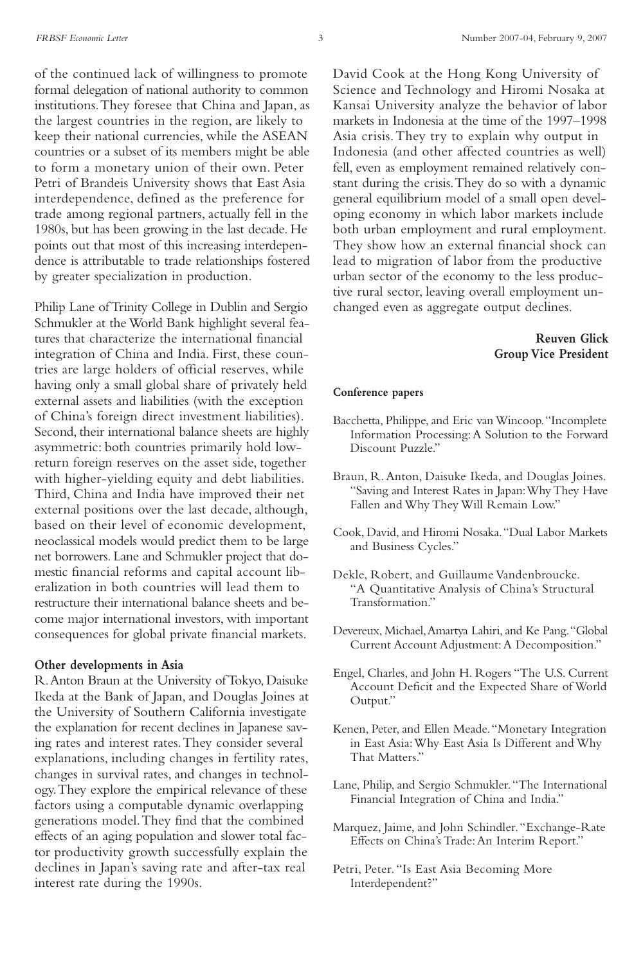of the continued lack of willingness to promote formal delegation of national authority to common institutions.They foresee that China and Japan, as the largest countries in the region, are likely to keep their national currencies, while the ASEAN countries or a subset of its members might be able to form a monetary union of their own. Peter Petri of Brandeis University shows that East Asia interdependence, defined as the preference for trade among regional partners, actually fell in the 1980s, but has been growing in the last decade. He points out that most of this increasing interdependence is attributable to trade relationships fostered by greater specialization in production.

Philip Lane of Trinity College in Dublin and Sergio Schmukler at the World Bank highlight several features that characterize the international financial integration of China and India. First, these countries are large holders of official reserves, while having only a small global share of privately held external assets and liabilities (with the exception of China's foreign direct investment liabilities). Second, their international balance sheets are highly asymmetric: both countries primarily hold lowreturn foreign reserves on the asset side, together with higher-yielding equity and debt liabilities. Third, China and India have improved their net external positions over the last decade, although, based on their level of economic development, neoclassical models would predict them to be large net borrowers. Lane and Schmukler project that domestic financial reforms and capital account liberalization in both countries will lead them to restructure their international balance sheets and become major international investors, with important consequences for global private financial markets.

#### **Other developments in Asia**

R.Anton Braun at the University of Tokyo, Daisuke Ikeda at the Bank of Japan, and Douglas Joines at the University of Southern California investigate the explanation for recent declines in Japanese saving rates and interest rates.They consider several explanations, including changes in fertility rates, changes in survival rates, and changes in technology.They explore the empirical relevance of these factors using a computable dynamic overlapping generations model.They find that the combined effects of an aging population and slower total factor productivity growth successfully explain the declines in Japan's saving rate and after-tax real interest rate during the 1990s.

David Cook at the Hong Kong University of Science and Technology and Hiromi Nosaka at Kansai University analyze the behavior of labor markets in Indonesia at the time of the 1997–1998 Asia crisis.They try to explain why output in Indonesia (and other affected countries as well) fell, even as employment remained relatively constant during the crisis.They do so with a dynamic general equilibrium model of a small open developing economy in which labor markets include both urban employment and rural employment. They show how an external financial shock can lead to migration of labor from the productive urban sector of the economy to the less productive rural sector, leaving overall employment unchanged even as aggregate output declines.

## **Reuven Glick Group Vice President**

#### **Conference papers**

- Bacchetta, Philippe, and Eric van Wincoop."Incomplete Information Processing:A Solution to the Forward Discount Puzzle."
- Braun, R. Anton, Daisuke Ikeda, and Douglas Joines. "Saving and Interest Rates in Japan:Why They Have Fallen and Why They Will Remain Low."
- Cook, David,and Hiromi Nosaka."Dual Labor Markets and Business Cycles."
- Dekle, Robert, and Guillaume Vandenbroucke. "A Quantitative Analysis of China's Structural Transformation."
- Devereux, Michael,Amartya Lahiri, and Ke Pang."Global Current Account Adjustment:A Decomposition."
- Engel, Charles, and John H. Rogers "The U.S. Current Account Deficit and the Expected Share of World Output."
- Kenen, Peter, and Ellen Meade."Monetary Integration in East Asia:Why East Asia Is Different and Why That Matters."
- Lane, Philip, and Sergio Schmukler. "The International Financial Integration of China and India."
- Marquez, Jaime, and John Schindler."Exchange-Rate Effects on China's Trade:An Interim Report."
- Petri, Peter. "Is East Asia Becoming More Interdependent?"